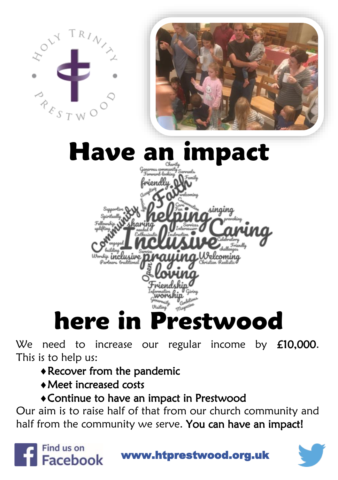

We need to increase our regular income by £10,000. This is to help us:

- Recover from the pandemic
- Meet increased costs

## Continue to have an impact in Prestwood

Our aim is to raise half of that from our church community and half from the community we serve. You can have an impact!



www.htprestwood.org.uk

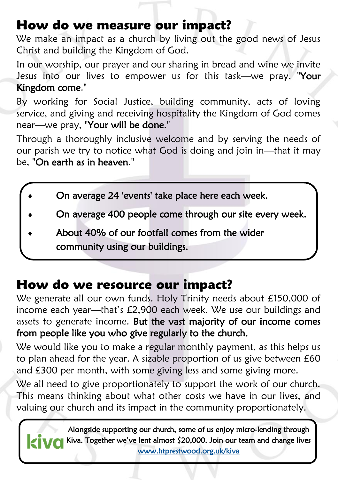## How do we measure our impact?

We make an impact as a church by living out the good news of Jesus Christ and building the Kingdom of God.

In our worship, our prayer and our sharing in bread and wine we invite Jesus into our lives to empower us for this task—we pray, "Your Kingdom come."

By working for Social Justice, building community, acts of loving service, and giving and receiving hospitality the Kingdom of God comes near—we pray, "Your will be done."

Through a thoroughly inclusive welcome and by serving the needs of our parish we try to notice what God is doing and join in—that it may be, "On earth as in heaven."

- On average 24 'events' take place here each week.
- On average 400 people come through our site every week.
- About 40% of our footfall comes from the wider community using our buildings.

## How do we resource our impact?

We generate all our own funds. Holy Trinity needs about £150,000 of income each year—that's £2,900 each week. We use our buildings and assets to generate income. But the vast majority of our income comes from people like you who give regularly to the church.

We would like you to make a regular monthly payment, as this helps us to plan ahead for the year. A sizable proportion of us give between £60 and £300 per month, with some giving less and some giving more.

We all need to give proportionately to support the work of our church. This means thinking about what other costs we have in our lives, and valuing our church and its impact in the community proportionately.

Alongside supporting our church, some of us enjoy micro-lending through KIVC Kiva. Together we've lent almost \$20,000. Join our team and change lives [www.htprestwood.org.uk/kiva](http://www.htprestwood.org.uk/kiva)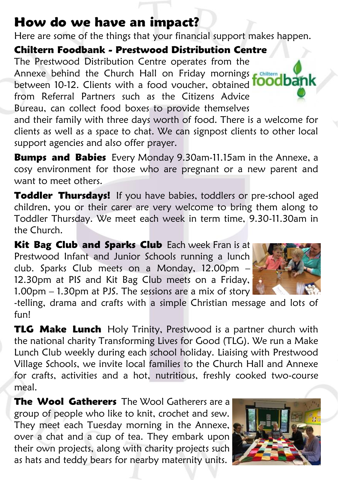# How do we have an impact?

Here are some of the things that your financial support makes happen.

Chiltern Foodbank - Prestwood Distribution Centre

The Prestwood Distribution Centre operates from the Annexe behind the Church Hall on Friday mornings between 10-12. Clients with a food voucher, obtained from Referral Partners such as the Citizens Advice Bureau, can collect food boxes to provide themselves

and their family with three days worth of food. There is a welcome for clients as well as a space to chat. We can signpost clients to other local support agencies and also offer prayer.

**Bumps and Babies** Every Monday 9.30am-11.15am in the Annexe, a cosy environment for those who are pregnant or a new parent and want to meet others.

Toddler Thursdays! If you have babies, toddlers or pre-school aged children, you or their carer are very welcome to bring them along to Toddler Thursday. We meet each week in term time, 9.30-11.30am in the Church.

Kit Bag Club and Sparks Club Each week Fran is at Prestwood Infant and Junior Schools running a lunch club. Sparks Club meets on a Monday, 12.00pm – 12.30pm at PIS and Kit Bag Club meets on a Friday, 1.00pm – 1.30pm at PJS. The sessions are a mix of story



-telling, drama and crafts with a simple Christian message and lots of fun!

**TLG Make Lunch** Holy Trinity, Prestwood is a partner church with the national charity Transforming Lives for Good (TLG). We run a Make Lunch Club weekly during each school holiday. Liaising with Prestwood Village Schools, we invite local families to the Church Hall and Annexe for crafts, activities and a hot, nutritious, freshly cooked two-course meal.

The Wool Gatherers The Wool Gatherers are a group of people who like to knit, crochet and sew. They meet each Tuesday morning in the Annexe, over a chat and a cup of tea. They embark upon their own projects, along with charity projects such as hats and teddy bears for nearby maternity units.